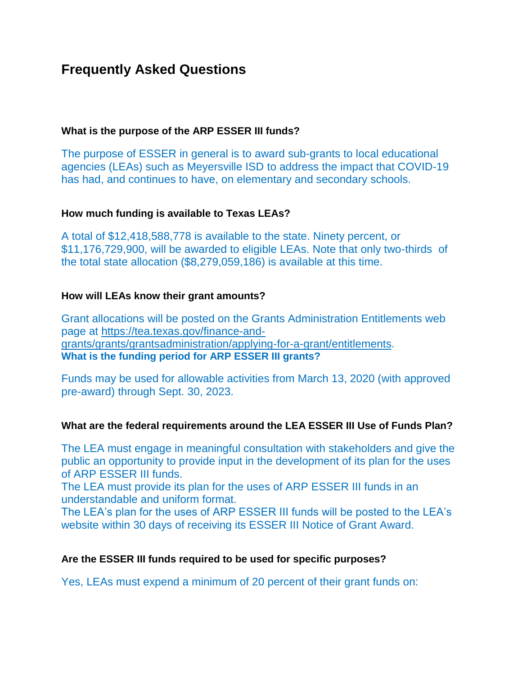# **Frequently Asked Questions**

## **What is the purpose of the ARP ESSER III funds?**

The purpose of ESSER in general is to award sub-grants to local educational agencies (LEAs) such as Meyersville ISD to address the impact that COVID-19 has had, and continues to have, on elementary and secondary schools.

#### **How much funding is available to Texas LEAs?**

A total of \$12,418,588,778 is available to the state. Ninety percent, or \$11,176,729,900, will be awarded to eligible LEAs. Note that only two-thirds of the total state allocation (\$8,279,059,186) is available at this time.

#### **How will LEAs know their grant amounts?**

Grant allocations will be posted on the Grants Administration Entitlements web page at [https://tea.texas.gov/finance-and](https://tea.texas.gov/finance-and-grants/grants/grantsadministration/applying-for-a-grant/entitlements)[grants/grants/grantsadministration/applying-for-a-grant/entitlements.](https://tea.texas.gov/finance-and-grants/grants/grantsadministration/applying-for-a-grant/entitlements) **What is the funding period for ARP ESSER III grants?**

Funds may be used for allowable activities from March 13, 2020 (with approved pre-award) through Sept. 30, 2023.

#### **What are the federal requirements around the LEA ESSER III Use of Funds Plan?**

The LEA must engage in meaningful consultation with stakeholders and give the public an opportunity to provide input in the development of its plan for the uses of ARP ESSER III funds.

The LEA must provide its plan for the uses of ARP ESSER III funds in an understandable and uniform format.

The LEA's plan for the uses of ARP ESSER III funds will be posted to the LEA's website within 30 days of receiving its ESSER III Notice of Grant Award.

#### **Are the ESSER III funds required to be used for specific purposes?**

Yes, LEAs must expend a minimum of 20 percent of their grant funds on: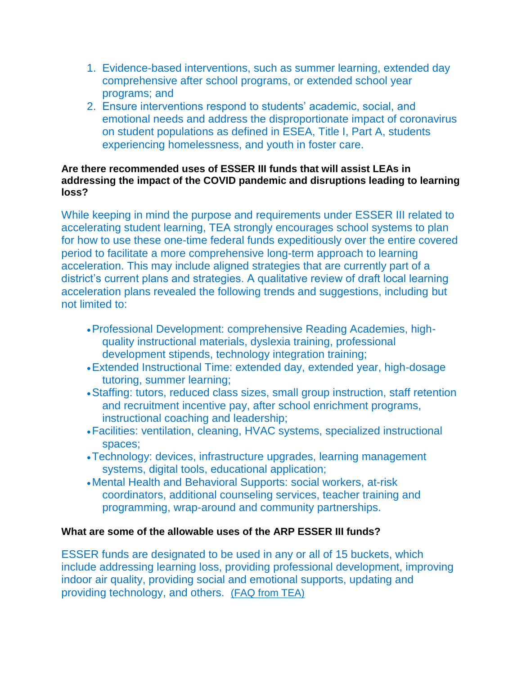- 1. Evidence-based interventions, such as summer learning, extended day comprehensive after school programs, or extended school year programs; and
- 2. Ensure interventions respond to students' academic, social, and emotional needs and address the disproportionate impact of coronavirus on student populations as defined in ESEA, Title I, Part A, students experiencing homelessness, and youth in foster care.

#### **Are there recommended uses of ESSER III funds that will assist LEAs in addressing the impact of the COVID pandemic and disruptions leading to learning loss?**

While keeping in mind the purpose and requirements under ESSER III related to accelerating student learning, TEA strongly encourages school systems to plan for how to use these one-time federal funds expeditiously over the entire covered period to facilitate a more comprehensive long-term approach to learning acceleration. This may include aligned strategies that are currently part of a district's current plans and strategies. A qualitative review of draft local learning acceleration plans revealed the following trends and suggestions, including but not limited to:

- Professional Development: comprehensive Reading Academies, highquality instructional materials, dyslexia training, professional development stipends, technology integration training;
- Extended Instructional Time: extended day, extended year, high-dosage tutoring, summer learning;
- Staffing: tutors, reduced class sizes, small group instruction, staff retention and recruitment incentive pay, after school enrichment programs, instructional coaching and leadership;
- Facilities: ventilation, cleaning, HVAC systems, specialized instructional spaces;
- Technology: devices, infrastructure upgrades, learning management systems, digital tools, educational application;
- Mental Health and Behavioral Supports: social workers, at-risk coordinators, additional counseling services, teacher training and programming, wrap-around and community partnerships.

# **What are some of the allowable uses of the ARP ESSER III funds?**

ESSER funds are designated to be used in any or all of 15 buckets, which include addressing learning loss, providing professional development, improving indoor air quality, providing social and emotional supports, updating and providing technology, and others. [\(FAQ from TEA\)](https://tea.texas.gov/sites/default/files/covid/COVID-19-CARES-Act-Funding-and-Expense-Reimbursement-FAQ.pdf)